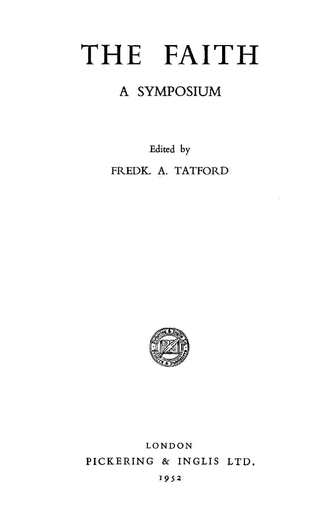# THE FAITH

## A SYMPOSIUM

Edited by

FREDK. A. TATFORD



## LONDON PICKERING & INGLIS LTD,

#### r95z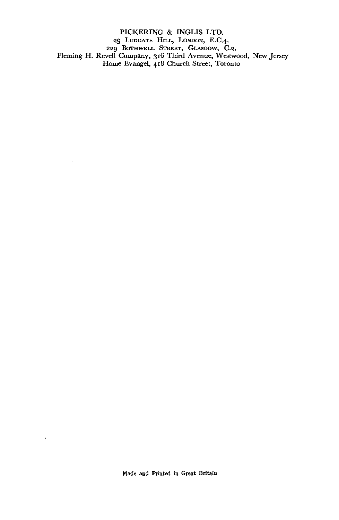PICKERING & INGLIS LTD. 29 Ludgate Hill, London, E.C.4. 229 BOTHWELL STREET, GLASGOW, C.2. Fleming H. Revell Company, 316 Third Avenue, Westwood, New Jersey Home Evangel, 418 Church Street, Toronto

 $\lambda$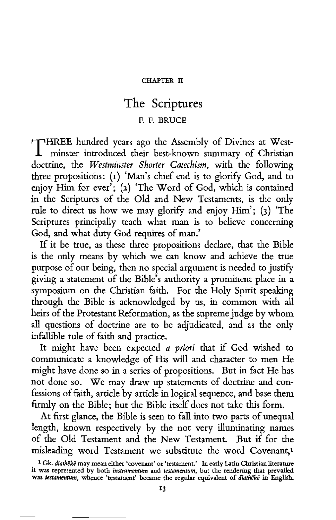#### CHAPTER II

### The Scriptures

#### F. F. BRUCE

THREE hundred years ago the Assembly of Divines at Westminster introduced their best-known summary of Christian doctrine, the *Westminster Shorter Catechism,* with the following three propositions: (1) 'Man's chief end is to glorify God, and to enjoy Him for ever'; (2) 'The Word of God, which is contained in the Scriptures of the Old and New Testaments, is the only rule to direct us how we may glorify and enjoy Him'; (3) 'The Scriptures principally teach what man is to believe concerning God, and what duty God requires of man.'

If it be true, as these three propositions declare, that the Bible is the only means by which we can know and achieve the true purpose of our being, then no special argument is needed to justify giving a statement of the Bible's authority a prominent place in a symposium on the Christian faith. For the Holy Spirit speaking through the Bible is acknowledged by us, in common with all heirs of the Protestant Reformation, as the supreme judge by whom all questions of doctrine are to be adjudicated, and as the only infallible rule of faith and practice.

It might have been expected *a priori* that if God wished to communicate a knowledge of His will and character to men He might have done so in a series of propositions. But in fact He has not done so. We may draw up statements of doctrine and confessions of faith, article by article in logical sequence, and base them firmly on the Bible; but the Bible itself does not take this form.

At first glance, the Bible is seen to fall into two parts of unequal length, known respectively by the not very illuminating names of the Old Testament and the New Testament. But if for the misleading word Testament we substitute the word Covenant,1

<sup>.</sup> 1 Gk. *diatheke* may mean either 'covenant' or 'testament.' In early Latin Christian literature it was represented by both *instrnmentum* and *testamentum,* but the rendering that prevailed was *testamentum,* whence 'testament' became the regular equivalent of *diatheke* in English.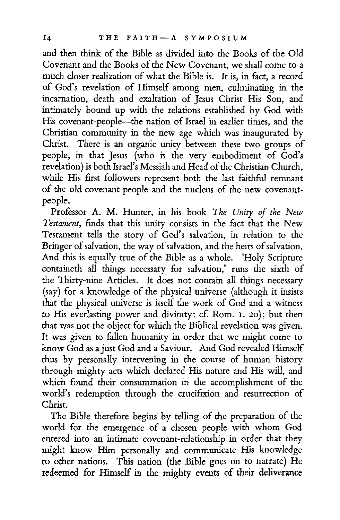and then think of the Bible as divided into the Books of the Old Covenant and the Books of the New Covenant, we shall come to a much closer realization of what the Bible is. It is, in fact, a record of God's revelation of Himself among men, culminating in the incarnation, death and exaltation of Jesus Christ His Son, and intimately bound up with the relations established by God with His covenant-people-the nation of Israel in earlier times, and the Christian community in the new age which was inaugurated by Christ. There is an organic unity between these two groups of people, in that Jesus (who is the very embodiment of God's revelation) is both Israel's Messiah and Head of the Christian Church, while His first followers represent both the last faithful remnant of the old covenant-people and the nucleus of the new covenantpeople.

Professor A. M. Hunter, in his book *The Unity of the New Testament,* finds that this unity consists in the fact that the New Testament tells the story of God's salvation, in relation to the Bringer of salvation, the way of salvation, and the heirs of salvation. And this is equally true of the Bible as a whole. 'Holy Scripture containeth all things necessary for salvation,' runs the sixth of the Thirty-nine Articles. It does not contain all things necessary (say) for a knowledge of the physical universe (although it insists that the physical universe is itself the work of God and a witness to His everlasting power and divinity: cf. Rom. I. 20); but then that was not the object for which the Biblical revelation was given. It was given to fallen humanity in order that we might come to know God as a just God and a Saviour. And God revealed Himself thus by personally intervening in the course of human history through mighty acts which declared His nature and His will, and which found their consummation in the accomplishment of the world's redemption through the crucifixion and resurrection of Christ.

The Bible therefore begins by telling of the preparation of the world for the emergence of a chosen people with whom God entered into an intimate covenant-relationship in order that they might know Him personally and communicate His knowledge to other nations. This nation (the Bible goes on to narrate) He redeemed for Himself in the mighty events of their deliverance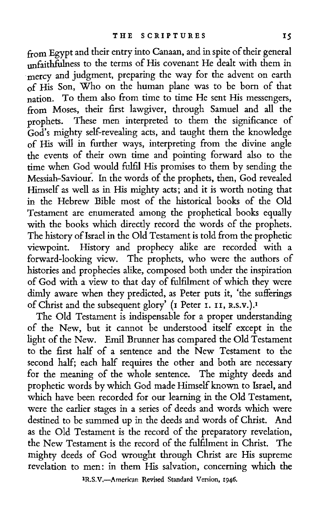from Egypt and their entry into Canaan, and in spite of their general unfaithfulness to the terms of His covenant He dealt with them in mercy and judgment, preparing the way for the advent on earth of His Son, Who on the human plane was to be born of that nation. To them also from time to time He sent His messengers, from Moses, their first lawgiver, through Samuel and all the prophets. These men interpreted to them the significance of God's mighty self-revealing acts, and taught them the knowledge of His will in further ways, interpreting from the divine angle the events of their own time and pointing forward also to the time when God would fulfil His promises to them by sending the Messiah-Saviour. In the words of the prophets, then, God revealed Himself as well as in His mighty acts; and it is worth noting that in the Hebrew Bible most of the historical books of the Old Testament are enumerated among the prophetical books equally with the books which directly record the words of the prophets. The history of Israel in the Old Testament is told from the prophetic viewpoint. History and prophecy alike are recorded with a forward-looking view. The prophets, who were the authors of histories and prophecies alike, composed both under the inspiration of God with a view to that day of fulfilment of which they were dimly aware when they predicted, as Peter puts it, 'the sufferings of Christ and the subsequent glory' (1 Peter I. 11, R.s.v.). <sup>1</sup>

The Old Testament is indispensable for a proper understanding of the New, but it cannot be understood itself except in the light of the New. Emil Brunner has compared the Old Testament to the first half of a sentence and the New Testament to the second half; each half requires the other and both are necessary for the meaning of the whole sentence. The mighty deeds and prophetic words by which God made Himself known to Israel, and which have been recorded for our learning in the Old Testament, were the earlier stages in a series of deeds and words which were destined to be summed up in the deeds and words of Christ. And as the Old Testament is the record of the preparatory revelation, the New Testament is the record of the fulfilment in Christ. The mighty deeds of God wrought through Christ are His supreme revelation to men: in them His salvation, concerning which the

lR.S.V.-American Revised Standard Version, 1946,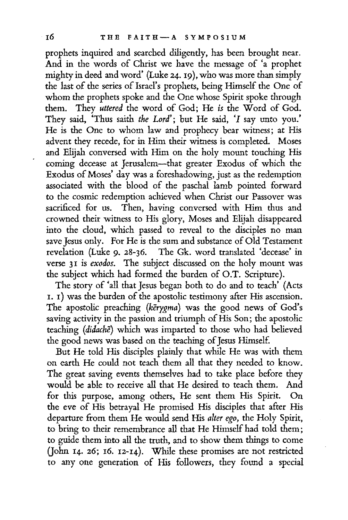prophets inquired and searched diligently, has been brought near. And in the words of Christ we have the message of 'a prophet mighty in deed and word' (Luke 24. 19 }, who was more than simply the last of the series of Israel's prophets, being Himself the One of whom the prophets spoke and the One whose Spirit spoke through them. They *uttered* the word of God; He *is* the Word of God. They said, 'Thus saith *the Lord';* but He said, 'I say unto you.' He is the One to whom law and prophecy bear witness; at His advent they recede, for in Him their witness is completed. Moses and Elijah conversed with Him on the holy mount touching His coming decease at Jerusalem-that greater Exodus of which the Exodus of Moses' day was a foreshadowing, just as the redemption associated with the blood of the paschal lamb pointed forward to the cosmic redemption achieved when Christ our Passover was sacrificed for us. Then, having conversed with Him thus and crowned their witness to His glory, Moses and Elijah disappeared into the cloud, which passed to reveal to the disciples no man save Jesus only. For He is the sum and substance of Old Testament revelation (Luke 9. 28-36. The Gk. word translated 'decease' in verse 31 is *exodos.* The subject discussed on the holy mount was the subject which had formed the burden of O.T. Scripture).

The story of 'all that Jesus began both to do and to teach' (Acts I. I) was the burden of the apostolic testimony after His ascension. The apostolic preaching *(kerygma)* was the good news of God's saving activity in the passion and triumph of His Son; the apostolic teaching (didache) which was imparted to those who had believed the good news was based on the teaching of Jesus Himself.

But He told His disciples plainly that while He was with them on earth He could not teach them all that they needed to know. The great saving events themselves had to take place before they would be able to receive all that He desired to teach them. And for this purpose, among others, He sent them His Spirit. On the eve of His betrayal He promised His disciples that after His departure from them He would send His *alter ego,* the Holy Spirit, to bring to their remembrance all that He Himself had told them; to guide them into all the truth, and to show them things to come Qohn 14. 26; 16. 12-14). While these promises are not restricted to any one generation of His followers, they found a special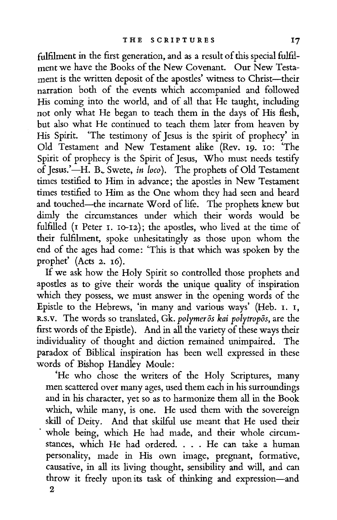fulfilment in the first generation, and as a result of this special fulfilment we have the Books of the New Covenant. Our New Testament is the written deposit of the apostles' witness to Christ-their narration both of the events which accompanied and followed His coming into the world, and of all that He taught, including not only what He began to teach them in the days of His flesh, but also what He continued to teach them later from heaven by His Spirit. 'The testimony of Jesus is the spirit of prophecy' in Old Testament and New Testament alike (Rev. 19. IO: 'The Spirit of prophecy is the Spirit of Jesus, Who must needs testify of Jesus.'-H. B., Swete, *in loco*). The prophets of Old Testament times testified to Him in advance; the apostles in New Testament times testified to Him as the One whom they had seen and heard and touched-the incarnate Word of life. The prophets knew but dimly the circumstances under which their words would be fulfilled (1 Peter 1. 10-12); the apostles, who lived at the time of their fulfilment, spoke unhesitatingly as those upon whom the end of the ages had come: 'This is that which was spoken by the prophet' (Acts 2. 16).

If we ask how the Holy Spirit so controlled those prophets and apostles as to give their words the unique quality of inspiration which they possess, we must answer in the opening words of the Epistle to the Hebrews, 'in many and various ways' (Heb. 1. 1, R.s.v. The words so translated, Gk. *polymeros kai polytropos,* are the first words of the Epistle). And in all the variety of these ways their individuality of thought and diction remained unimpaired. The paradox of Biblical inspiration has been well expressed in these words of Bishop Handley Moule:

'He who chose the writers of the Holy Scriptures, many men scattered over many ages, used them each in his surroundings and in his character, yet so as to harmonize them all in the Book which, while many, is one. He used them with the sovereign skill of Deity. And that skilful use meant that He used their whole being, which He had made, and their whole circumstances, which He had ordered. . . . He can take a human personality, made in His own image, pregnant, formative, causative, in all its living thought, sensibility and will, and can throw it freely upon its task of thinking and expression-and 2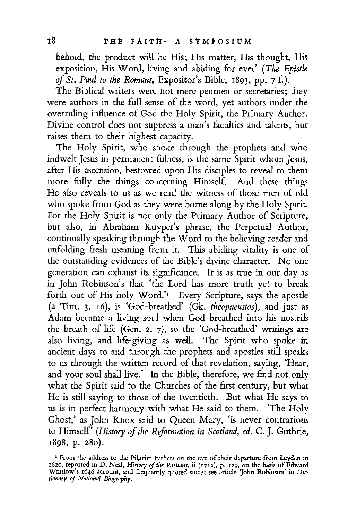behold, the product will be His; His matter, His thought, His exposition, His Word, living and abiding for ever' *(The Epistle of St. Paul to the Romans,* Expositor's Bible, 1893, pp. 7 £).

The Biblical writers were not mere penmen or secretaries; they were authors in the full sense of the word, yet authors under the overruling influence of God the Holy Spirit, the Primary Author. Divine control does not suppress a man's faculties and talents, but raises them to their highest capacity.

The Holy Spirit, who spoke through the prophets and who ind rivery opens, the spirit who is the same Spirit whom Jesus, after His ascension, bestowed upon His disciples to reveal to them more fully the things concerning Himself. And these things He also reveals to us as we read the witness of those men of old who spoke from God as they were borne along by the Holy Spirit. For the Holy Spirit is not only the Primary Author of Scripture, but also, in Abraham Kuyper's phrase, the Perpetual Author, continually speaking through the Word to the believing reader and unfolding fresh meaning from it. This abiding vitality is one of the outstanding evidences of the Bible's divine character. No one generation can exhaust its significance. It is as true in our day as in John Robinson's that 'the Lord has more truth yet to break forth out of His holy Word.'<sup>1</sup> Every Scripture, says the apostle (2 Tim. 3. 16), is 'God-breathed' (Gk. *theopneustos),* and just as Adam became a living soul when God breathed into his nostrils the breath of life (Gen. 2. 7), so the 'God-breathed' writings are also living, and life-giving as well. The Spirit who spoke in ancient days to and through the prophets and apostles still speaks to us through the written record of that revelation, saying, 'Hear, and your soul shall live.' In the Bible, therefore, we find not only what the Spirit said to the Churches of the first century, but what He is still saying to those of the twentieth. But what He says to us is in perfect harmony with what He said to them. 'The Holy Ghost,' as John Knox said to Queen Mary, 'is never contrarious to Himself' *(History of the Reformation in Scotland, ed. C.].* Guthrie, 1898, p. 280).

<sup>1</sup> From the address to the Pilgrim Fathers on the eve of their departure from Leyden in 1620, reported *in* D. Neal, *History* ef *the Puritans,* ii (1732), p. 129, on the *basis* of Edward Winslow's 1646 account, and frequently quoted since; see article 'John Robinson' in *Die• tionary of National Biography.*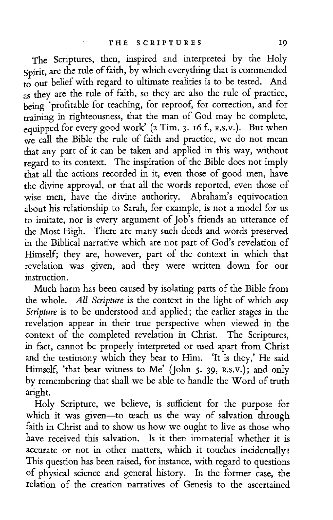The Scriptures, then, inspired and interpreted by the Holy Spirit, are the rule of faith, by which everything that is commended to our belief with regard to ultimate realities is to be tested. And as they are the rule of faith, so they are also the rule of practice, being 'profitable for teaching, for reproof, for correction, and for training in righteousness, that the man of God may be complete, equipped for every good work' (2 Tim. 3. 16 f., R.S.V.). But when we call the Bible the rule of faith and practice, we do not mean that any part of it can be taken and applied in this way, without regard to its context. The inspiration of the Bible does not imply that all the actions recorded in it, even those of good men, have the divine approval, or that all the words reported, even those of wise men, have the divine authority. Abraham's equivocation about his relationship to Sarah, for example, is not a model for us to imitate, nor is every argument of Job's friends an utterance of the Most High. There are many such deeds and words preserved in the Biblical narrative which are not part of God's revelation of Himself; they are, however, part of the context in which that revelation was given, and they were written down for our instruction.

Much harm has been caused by isolating parts of the Bible from the whole. All *Scripture* is the context in the light of which *any Scripture* is to be understood and applied; the earlier stages in the revelation appear in their true perspective when viewed in the context of the completed revelation in Christ. The Scriptures, in fact, cannot be properly interpreted or used apart from Christ and the testimony which they bear to Him. 'It is they,' He said Himself, 'that bear witness to Me' {John 5. 39, R.s.v.); and only by remembering that shall we be able to handle the Word of truth aright.

Holy Scripture, we believe, is sufficient for the purpose for which it was given-to teach us the way of salvation through faith in Christ and to show us how we ought to live as those who have received this salvation. Is it then immaterial whether it is accurate or not in other matters, which it touches incidentally: This question has been raised, for instance, with regard to questions of physical science and general history. In the former case, the relation of the creation narratives of Genesis to the ascertained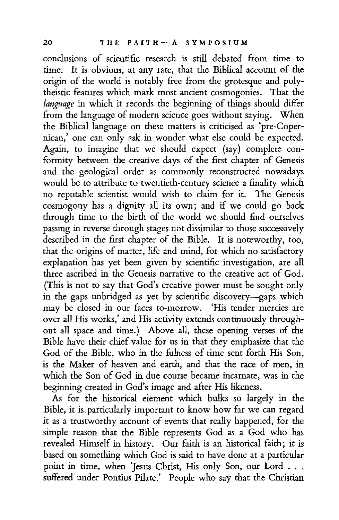conclusions of scientific research is still debated from time to time. It is obvious, at any rate, that the Biblical account of the origin of the world is notably free from the grotesque and polytheistic features which mark most ancient cosmogonies. That the *language* in which it records the beginning of things should differ from the language of modern science goes without saying. When the Biblical language on these matters is criticised as 'pre-Copernican,' one can only ask in wonder what else could be expected. Again, to imagine that we should expect (say) complete conformity between the creative days of the first chapter of Genesis and the geological order as commonly reconstructed nowadays would be to attribute to twentieth-century science a finality which no reputable scientist would wish to claim for it. The Genesis cosmogony has a dignity all its own; and if we could go back through time to the birth of the world we should fmd ourselves passing in reverse through stages not dissimilar to those successively described in the first chapter of the Bible. It is noteworthy, too, that the origins of matter, life and mind, for which no satisfactory explanation has yet been given by scientific investigation, are all three ascribed in the Genesis narrative to the creative act of God. (This is not to say that God's creative power must be sought only in the gaps unbridged as yet by scientific discovery-gaps which may be closed in our faces to-morrow. 'His tender mercies are over all His works,' and His activity extends continuously throughout all space and time.) Above all, these opening verses of the Bible have their chief value for us in that they emphasize that the God of the Bible, who in the fulness of time sent forth His Son, is the Maker of heaven and earth, and that the race of men, in which the Son of God in due course became incarnate, was in the beginning created in God's image and after His likeness.

As for the historical element which bulks so largely in the Bible, it is.particularly important to know how far we can regard it as a trustworthy account of events that really happened, for the simple reason that the Bible represents God as a God who has revealed Himself in history. Our faith is an historical faith; it is based on something which God is said to have done at a particular point in time, when 'Jesus Christ, His only Son, our Lord . . . suffered under Pontius Pilate.' People who say that the Christian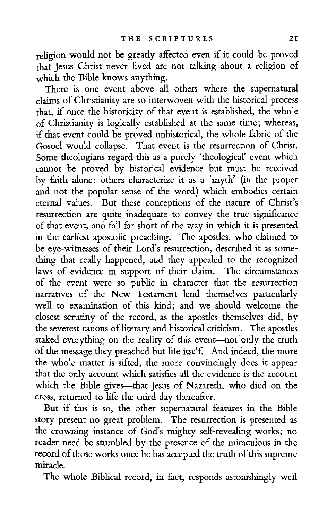religion would not be greatly affected even if it could be proved that Jesus Christ never lived are not talking about a religion of which the Bible knows anything.

There is one event above all others where the supernatural claims of Christianity are so interwoven with the historical process that, if once the historicity of that event is established, the whole of Christianity is logically established at the same time; whereas, if that event could be proved unhistorical, the whole fabric of the Gospel would collapse. That event is the resurrection of Christ. Some theologians regard this as a purely 'theological' event which cannot be proved by historical evidence but must be received by faith alone; others characterize it as a 'myth' (in the proper and not the popular sense of the word) which embodies certain eternal values. But these conceptions of the nature of Christ's resurrection are quite inadequate to convey the true significance of that event, and fall far short of the way in which it is presented in the earliest apostolic preaching. The apostles, who claimed to be eye-witnesses of their Lord's resurrection, described it as something that really happened, and they appealed to the recognized laws of evidence in support of their claim. The circumstances of the event were so public in character that the resurrection narratives of the New Testament lend themselves particularly well to examination of this kind; and we should welcome the closest scrutiny of the record, as the apostles themselves did, by the severest canons of literary and historical criticism. The apostles staked everything on the reality of this event-not only the truth of the message they preached but life itself. And indeed, the more the whole matter is sifted, the more convincingly does it appear that the only account which satisfies all the evidence is the account which the Bible gives-that Jesus of Nazareth, who died on the cross, returned to life the third day thereafter.

But if this is so, the other supernatural features in the Bible story present no great problem. The resurrection is presented as the crowning instance of God's mighty self-revealing works; no reader need be stumbled by the presence of the miraculous in the record of those works once he has accepted the truth of this supreme miracle.

The whole Biblical record, in fact, responds astonishingly well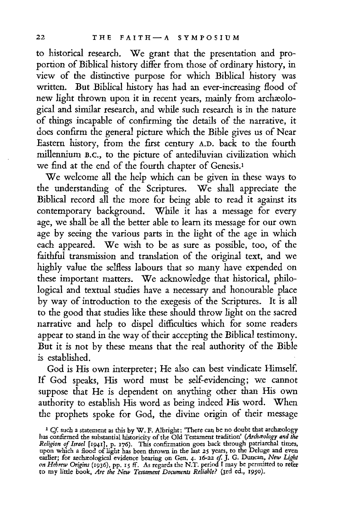to historical research. We grant that the presentation and proportion of Biblical history differ from those of ordinary history, in view of the distinctive purpose for which Biblical history was written. But Biblical history has had an ever-increasing flood of new light thrown upon it in recent years, mainly from archæological and similar research, and while such research is in the nature of things incapable of confirming the details of the narrative, it does confirm the general picture which the Bible gives us of Near Eastern history, from the first century A.D. back to the fourth millennium B.c., to the picture of antediluvian civilization which we find at the end of the fourth chapter of Genesis.<sup>1</sup>

We welcome all the help which can be given in these ways to the understanding of the Scriptures. We shall appreciate the Biblical record all the more for being able to read it against its contemporary background. While it has a message for every age, we shall be all the better able to learn its message for our own age by seeing the various parts in the light of the age in which each appeared. We wish to be as sure as possible, too, of the faithful transmission and translation of the original text, and we highly value the selfless labours that so many have expended on these important matters. We acknowledge that historical, philological and textual studies have a necessary and honourable place by way of introduction to the exegesis of the Scriptures. It is all to the good that studies like these should throw light on the sacred narrative and help to dispel difficulties which for some readers appear to stand in the way of their accepting the Biblical testimony. But it is not by these means that the real authority of the Bible is established.

God is His own interpreter; He also can best vindicate Himself. If God speaks, His word must he self-evidencing; we cannot suppose that He is dependent on anything other than His own authority to establish His word as being indeed His word. When the prophets spoke for God, the divine origin of their message

<sup>&</sup>lt;sup>1</sup> Cf. such a statement as this by W. F. Albright: "There can be no doubt that archæology has confirmed the substantial historicity of the Old Testament tradition' *(Archawlogy and the Religion* ef *Israel* [1941], p. 176). This confirmation *goes* back through patriarchal times, upon which a flood of light has been thrown in the last 25 years, to the Deluge and even<br>earlier; for archaeological evidence bearing on Gen. 4. 16-22 cf. J. G. Duncan, New Light<br>on Hebrew Origins (1936), pp. 15 ff. As reg to my little book, *Are the New Testament Documents Reliable?* (3rd ed., 1950),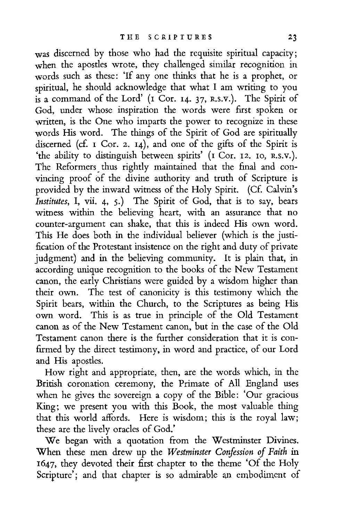was discerned by those who had the requisite spiritual capacity; when the apostles wrote, they challenged similar recognition in words such as these: 'If any one thinks that he is a prophet, or spiritual, he should acknowledge that what I am writing to you is a command of the Lord' (1 Cor. 14. 37, R.S.V.). The Spirit of God, under whose inspiration the words were first spoken or written, is the One who imparts the power to recognize in these words His word. The things of the Spirit of God are spiritually discerned (cf. 1 Cor. 2. 14), and one of the gifts of the Spirit is the ability to distinguish between spirits' (I Cor. 12. 10, R.S.V.). The Reformers, thus rightly maintained that the final and convincing proof of the divine authority and truth of Scripture is provided by the inward witness of the Holy Spirit. (Cf. Calvin's *Institutes,* I, vii. 4, 5.) The Spirit of God, that is to say, bears witness within the believing heart, with an assurance that no counter-argument can shake, that this is indeed His own word. This He does both in the individual believer (which is the justification of the Protestant insistence on the right and duty of private judgment) and in the believing community. It is plain that, in according unique recognition to the books of the New Testament canon, the early Christians were guided by a wisdom higher than their own. The test of canonicity is this testimony which the Spirit bears, within the Church, to the Scriptures as being His own word. This is as true in principle of the Old Testament canon as of the New Testament canon, but in the case of the Old Testament canon there is the further consideration that it is confirmed by the direct testimony, in word and practice, of our Lord and His apostles.

How right and appropriate, then, are the words which, in the British coronation ceremony, the Primate of All England uses when he gives the sovereign a copy of the Bible: 'Our gracious King; we present you with this Book, the most valuable thing that this world affords. Here is wisdom; this is the royal law; these are the lively oracles of God.'

We began with a quotation from the Westminster Divines. When these men drew up the *Westminster Confession of Faith* in 1647, they devoted their first chapter to the theme 'Of the Holy Scripture'; and that chapter is so admirable an embodiment of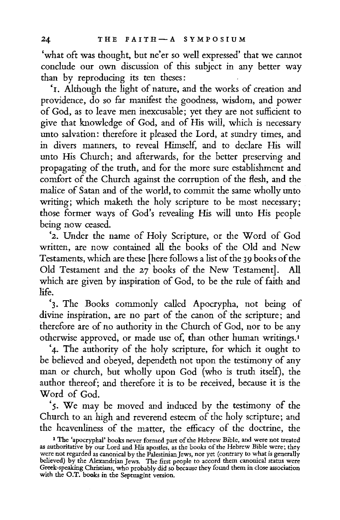'what oft was thought, but ne'er so well expressed' that we cannot conclude our own discussion of this subject in any better way than by reproducing its ten theses:

'1. Although the light of nature, and the works of creation and providence, do so far manifest the goodness, wisdom, and power of God, as to leave men inexcusable; yet they are not sufficient to give that knowledge of God, and of His will, which is necessary unto salvation: therefore it pleased the Lord, at sundry times, and in divers manners, to reveal Himself, and to declare His will unto His Church; and afterwards, for the better preserving and propagating of the truth, and for the more sure establishment and comfort of the Church against the corruption of the flesh, and the malice of Satan and of the world, to commit the same wholly unto writing; which maketh the holy scripture to be most necessary; those former ways of God's revealing His will unto His people being now ceased.

'2. Under the name of Holy Scripture, or the Word of God written, are now contained all the books of the Old and New Testaments, which are these [here follows a list of the *39* books of the Old Testament and the 27 books of the New Testament]. All which are given by inspiration of God, to be the rule of faith and life.

'3. The Books commonly called Apocrypha, not being of divine inspiration, are no part of the canon of the scripture; and therefore are of no authority in the Church of God, nor to be any otherwise approved, or made use of, than other human writings. <sup>1</sup>

'4. The authority of the holy scripture, for which it ought to be believed and obeyed, dependeth not upon the testimony of any man or church, but wholly upon God (who is truth itself), the author thereof; and therefore it is *to* be received, because it is the Word of God.

'5. We may be moved and induced by the testimony of the Church to an high and reverend esteem of the holy scripture; and

the heavenliness of the matter, the efficacy of the doctrine, the<br>
"The 'apocryphal' books never formed part of the Hebrew Bible, and were not treated<br>
as authoritative by our Lord and His apostles, as the books of the Heb Greek-speaking Christians, who probably did so because they found them in dose association with the O.T. books in the Septuagint version.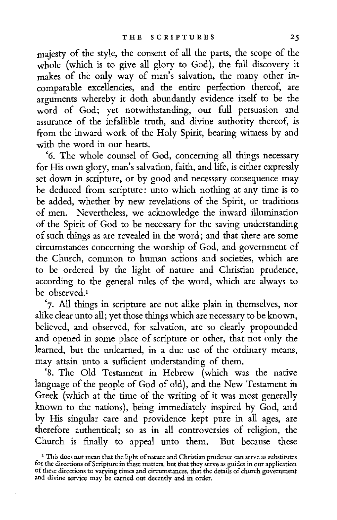majesty of the style, the consent of all the parts, the scope of the whole (which is to give all glory to God), the full discovery it makes of the only way of man's salvation, the many other incomparable excellencies, and the entire perfection thereof, are arguments whereby it doth abundantly evidence itself to be the word of God; yet notwithstanding, our full persuasion and assurance of the infallible truth, and divine authority thereof, is from the inward work of the Holy Spirit, bearing witness by and with the word in our hearts.

'6. The whole counsel of God, concerning all things necessary for His own glory, man's salvation, faith, and life, is either expressly set down in scripture, or by good and necessary consequence may be deduced from scripture: unto which nothing at any time is to be added, whether by new revelations of the Spirit, or traditions of men. Nevertheless, we acknowledge the inward illumination of the Spirit of God to be necessary for the saving understanding of such things as are revealed in the word; and that there are some circumstances concerning the worship of God, and government of the Church, common to human actions and societies, which are to be ordered by the light of nature and Christian prudence, according to the general rules of the word, which are always to be observed.1

'7. All things in scripture are not alike plain in themselves, nor alike clear unto all; yet those things which are necessary to be known, believed, and observed, for salvation, are so clearly propounded and opened in some place of scripture or other, that not only the learned, but the unlearned, in a due use of the ordinary means, may attain unto a sufficient understanding of them.

'8. The Old Testament in Hebrew (which was the native language of the people of God of old), and the New Testament in Greek (which at the time of the writing of it was most generally known to the nations), being immediately inspired by God, and by His singular care and providence kept pure in all ages, are therefore authentical; so as in all controversies of religion, the Church is finally to appeal unto them. But because these

 $1$  This does not mean that the light of nature and Christian prudence can serve as substitutes for the directions of Scripture in these matters, but that they serve as guides in our application of these directions to varying times and circumstances, that the details of church govemment and divine service may be carried out decently and in order.